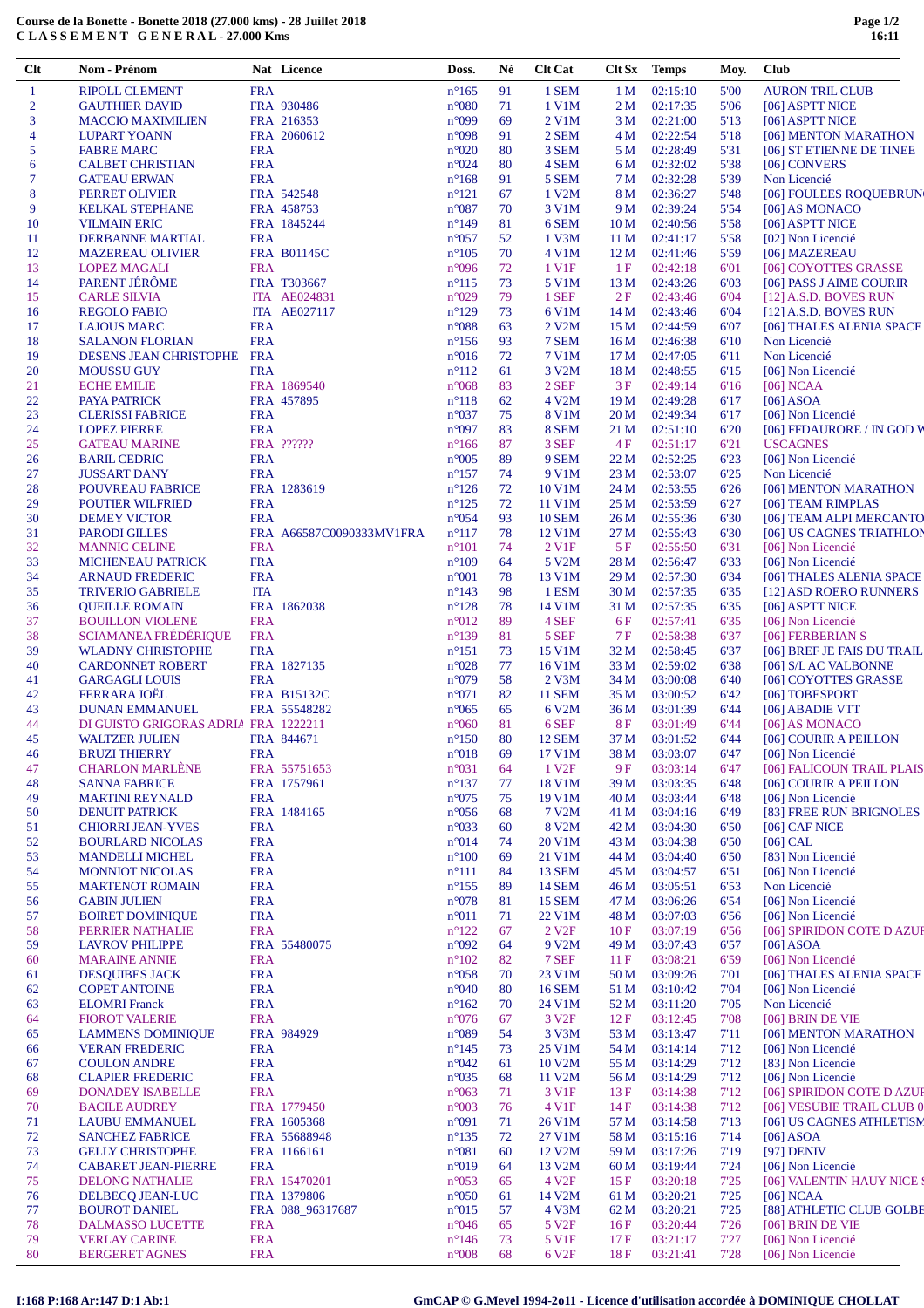## **Course de la Bonette - Bonette 2018 (27.000 kms) - 28 Juillet 2018 C L A S S E M E N T G E N E R A L - 27.000 Kms**

| Clt            | <b>Nom - Prénom</b>                                           |            | Nat Licence                        | Doss.                            | Né       | <b>Clt Cat</b>             |                 | Clt Sx Temps         | Moy.         | <b>Club</b>                                        |
|----------------|---------------------------------------------------------------|------------|------------------------------------|----------------------------------|----------|----------------------------|-----------------|----------------------|--------------|----------------------------------------------------|
| 1              | <b>RIPOLL CLEMENT</b>                                         | <b>FRA</b> |                                    | $n^{\circ}165$                   | 91       | 1 SEM                      | 1 M             | 02:15:10             | 5'00         | <b>AURON TRIL CLUB</b>                             |
| $\overline{c}$ | <b>GAUTHIER DAVID</b>                                         |            | FRA 930486                         | $n^{\circ}080$                   | 71       | 1 V1M                      | 2M              | 02:17:35             | 5'06         | [06] ASPTT NICE                                    |
| 3              | <b>MACCIO MAXIMILIEN</b>                                      |            | FRA 216353                         | $n^{\circ}099$                   | 69       | 2 V1M                      | 3 M             | 02:21:00             | 5'13         | [06] ASPTT NICE                                    |
| 4              | <b>LUPART YOANN</b>                                           |            | FRA 2060612                        | n°098                            | 91       | 2 SEM                      | 4 M             | 02:22:54             | 5'18         | [06] MENTON MARATHON                               |
| 5              | <b>FABRE MARC</b>                                             | <b>FRA</b> |                                    | $n^{\circ}020$                   | 80       | 3 SEM                      |                 | 5 M 02:28:49         | 5'31         | [06] ST ETIENNE DE TINEE                           |
| 6              | <b>CALBET CHRISTIAN</b>                                       | <b>FRA</b> |                                    | $n^{\circ}024$                   | 80       | 4 SEM                      | 6 M             | 02:32:02             | 5'38         | [06] CONVERS                                       |
| 7              | <b>GATEAU ERWAN</b>                                           | <b>FRA</b> |                                    | $n^{\circ}168$                   | 91       | 5 SEM                      | 7 M             | 02:32:28             | 5'39         | Non Licencié                                       |
| 8              | PERRET OLIVIER                                                |            | FRA 542548                         | $n^{\circ}121$                   | 67       | 1 V2M                      | 8 M             | 02:36:27             | 5'48         | [06] FOULEES ROQUEBRUN                             |
| 9              | <b>KELKAL STEPHANE</b>                                        |            | FRA 458753                         | $n^{\circ}087$                   | 70       | 3 V1M                      | 9 M             | 02:39:24             | 5'54         | [06] AS MONACO                                     |
| 10             | <b>VILMAIN ERIC</b>                                           |            | FRA 1845244                        | $n^{\circ}149$                   | 81       | 6 SEM                      | 10 M            | 02:40:56             | 5'58         | [06] ASPTT NICE                                    |
| 11             | DERBANNE MARTIAL                                              | <b>FRA</b> |                                    | $n^{\circ}057$                   | 52       | 1 V3M                      | 11 M            | 02:41:17             | 5'58         | [02] Non Licencié                                  |
| 12             | <b>MAZEREAU OLIVIER</b>                                       |            | <b>FRA B01145C</b>                 | $n^{\circ}105$                   | 70       | 4 V1M                      | 12M             | 02:41:46             | 5'59         | [06] MAZEREAU                                      |
| 13             | LOPEZ MAGALI<br>PARENT JÉRÔME                                 | <b>FRA</b> |                                    | $n^{\circ}096$                   | 72       | 1 V1F                      | 1F              | 02:42:18             | 6'01         | [06] COYOTTES GRASSE                               |
| 14<br>15       | <b>CARLE SILVIA</b>                                           |            | FRA T303667<br><b>ITA AE024831</b> | $n^{\circ}115$<br>$n^{\circ}029$ | 73<br>79 | 5 V1M<br>1 SEF             | 13M<br>2F       | 02:43:26<br>02:43:46 | 6'03<br>6'04 | [06] PASS J AIME COURIR<br>$[12]$ A.S.D. BOVES RUN |
| 16             | <b>REGOLO FABIO</b>                                           |            | <b>ITA AE027117</b>                | $n^{\circ}129$                   | 73       | 6 V1M                      | 14 M            | 02:43:46             | 6'04         | $[12]$ A.S.D. BOVES RUN                            |
| 17             | <b>LAJOUS MARC</b>                                            | <b>FRA</b> |                                    | $n^{\circ}088$                   | 63       | $2$ V <sub>2</sub> M       | 15 M            | 02:44:59             | 6'07         | [06] THALES ALENIA SPACE                           |
| 18             | <b>SALANON FLORIAN</b>                                        | <b>FRA</b> |                                    | $n^{\circ}156$                   | 93       | 7 SEM                      | 16M             | 02:46:38             | 6'10         | Non Licencié                                       |
| 19             | DESENS JEAN CHRISTOPHE FRA                                    |            |                                    | $n^{\circ}016$                   | 72       | 7 V1M                      | 17 <sub>M</sub> | 02:47:05             | 6'11         | Non Licencié                                       |
| 20             | <b>MOUSSU GUY</b>                                             | <b>FRA</b> |                                    | $n^{\circ}112$                   | 61       | 3 V2M                      | 18 M            | 02:48:55             | 6'15         | [06] Non Licencié                                  |
| 21             | <b>ECHE EMILIE</b>                                            |            | FRA 1869540                        | $n^{\circ}068$                   | 83       | $2$ SEF                    | 3F              | 02:49:14             | 6'16         | [06] NCAA                                          |
| 22             | <b>PAYA PATRICK</b>                                           |            | FRA 457895                         | $n^{\circ}118$                   | 62       | 4 V <sub>2</sub> M         | 19 M            | 02:49:28             | 6'17         | $[06]$ ASOA                                        |
| 23             | <b>CLERISSI FABRICE</b>                                       | <b>FRA</b> |                                    | $n^{\circ}037$                   | 75       | 8 V1M                      | 20 M            | 02:49:34             | 6'17         | [06] Non Licencié                                  |
| 24             | <b>LOPEZ PIERRE</b>                                           | <b>FRA</b> |                                    | $n^{\circ}097$                   | 83       | 8 SEM                      | 21 M            | 02:51:10             | 6'20         | [06] FFDAURORE / IN GOD W                          |
| 25             | <b>GATEAU MARINE</b>                                          |            | FRA ??????                         | $n^{\circ}166$                   | 87       | 3 SEF                      | 4 F             | 02:51:17             | 6'21         | <b>USCAGNES</b>                                    |
| 26             | <b>BARIL CEDRIC</b>                                           | <b>FRA</b> |                                    | $n^{\circ}005$                   | 89       | 9 SEM                      | 22 M            | 02:52:25             | 6'23         | [06] Non Licencié                                  |
| 27             | <b>JUSSART DANY</b>                                           | <b>FRA</b> |                                    | $n^{\circ}157$                   | 74       | 9 V1M                      | 23 M            | 02:53:07             | 6'25         | Non Licencié                                       |
| 28             | POUVREAU FABRICE                                              |            | FRA 1283619                        | $n^{\circ}126$                   | 72       | 10 V1M                     | 24 M            | 02:53:55             | 6'26         | [06] MENTON MARATHON                               |
| 29             | <b>POUTIER WILFRIED</b>                                       | <b>FRA</b> |                                    | $n^{\circ}125$                   | 72       | 11 V1M                     | 25 M            | 02:53:59             | 6'27         | [06] TEAM RIMPLAS                                  |
| 30             | <b>DEMEY VICTOR</b>                                           | <b>FRA</b> |                                    | $n^{\circ}054$                   | 93       | <b>10 SEM</b>              | 26 M            | 02:55:36             | 6'30         | [06] TEAM ALPI MERCANTO                            |
| 31             | PARODI GILLES                                                 |            | FRA A66587C0090333MV1FRA           | $n^{\circ}117$                   | 78       | 12 V1M                     | 27 M            | 02:55:43             | 6'30         | [06] US CAGNES TRIATHLON                           |
| 32             | <b>MANNIC CELINE</b>                                          | <b>FRA</b> |                                    | $n^{\circ}101$                   | 74       | 2 V <sub>1F</sub>          | 5F              | 02:55:50             | 6'31         | [06] Non Licencié                                  |
| 33             | <b>MICHENEAU PATRICK</b>                                      | <b>FRA</b> |                                    | $n^{\circ}109$                   | 64       | 5 V2M                      | 28 M            | 02:56:47             | 6'33         | [06] Non Licencié                                  |
| 34             | <b>ARNAUD FREDERIC</b>                                        | <b>FRA</b> |                                    | $n^{\circ}001$                   | 78       | 13 V1M                     | 29 M            | 02:57:30             | 6'34         | [06] THALES ALENIA SPACE                           |
| 35             | <b>TRIVERIO GABRIELE</b>                                      | <b>ITA</b> |                                    | $n^{\circ}143$                   | 98       | 1 ESM                      | 30 M            | 02:57:35             | 6'35         | [12] ASD ROERO RUNNERS                             |
| 36             | <b>QUEILLE ROMAIN</b>                                         |            | FRA 1862038                        | $n^{\circ}128$                   | 78       | 14 V1M                     | 31 M            | 02:57:35             | 6'35         | [06] ASPTT NICE                                    |
| 37             | <b>BOUILLON VIOLENE</b>                                       | <b>FRA</b> |                                    | $n^{\circ}012$                   | 89       | 4 SEF                      | 6 F             | 02:57:41             | 6'35         | [06] Non Licencié                                  |
| 38             | <b>SCIAMANEA FRÉDÉRIQUE</b>                                   | <b>FRA</b> |                                    | $n^{\circ}139$                   | 81       | 5 SEF                      | 7 F             | 02:58:38             | 6'37         | [06] FERBERIAN S                                   |
| 39             | <b>WLADNY CHRISTOPHE</b>                                      | <b>FRA</b> |                                    | $n^{\circ}151$                   | 73       | 15 V1M                     | 32 M            | 02:58:45             | 6'37         | [06] BREF JE FAIS DU TRAIL                         |
| 40             | <b>CARDONNET ROBERT</b>                                       |            | FRA 1827135                        | $n^{\circ}028$                   | 77       | 16 V1M                     | 33 M            | 02:59:02             | 6'38         | [06] S/L AC VALBONNE                               |
| 41             | <b>GARGAGLI LOUIS</b>                                         | <b>FRA</b> |                                    | $n^{\circ}079$                   | 58       | $2$ V $3M$                 | 34 M            | 03:00:08             | 6'40         | [06] COYOTTES GRASSE                               |
| 42             | <b>FERRARA JOËL</b>                                           |            | <b>FRA B15132C</b>                 | $n^{\circ}071$                   | 82       | <b>11 SEM</b>              | 35 M            | 03:00:52             | 6'42<br>6'44 | [06] TOBESPORT                                     |
| 43<br>44       | <b>DUNAN EMMANUEL</b><br>DI GUISTO GRIGORAS ADRIA FRA 1222211 |            | FRA 55548282                       | $n^{\circ}065$<br>$n^{\circ}060$ | 65<br>81 | 6 V2M<br>6 SEF             | 36 M<br>8F      | 03:01:39<br>03:01:49 | 6'44         | [06] ABADIE VTT<br>[06] AS MONACO                  |
| 45             | <b>WALTZER JULIEN</b>                                         |            | FRA 844671                         | $n^{\circ}150$                   | 80       | <b>12 SEM</b>              | 37 M            | 03:01:52             | 6'44         | [06] COURIR A PEILLON                              |
| 46             | <b>BRUZI THIERRY</b>                                          | <b>FRA</b> |                                    | $n^{\circ}018$                   | 69       | 17 V1M                     | 38 M            | 03:03:07             | 6'47         | [06] Non Licencié                                  |
| 47             | <b>CHARLON MARLÈNE</b>                                        |            | FRA 55751653                       | $n^{\circ}031$                   | 64       | 1 V <sub>2F</sub>          | 9 F             | 03:03:14             | 6'47         | [06] FALICOUN TRAIL PLAIS                          |
| 48             | <b>SANNA FABRICE</b>                                          |            | FRA 1757961                        | $n^{\circ}137$                   | 77       | 18 V1M                     | 39 M            | 03:03:35             | 6'48         | [06] COURIR A PEILLON                              |
| 49             | <b>MARTINI REYNALD</b>                                        | <b>FRA</b> |                                    | $n^{\circ}075$                   | 75       | 19 V1M                     | 40 M            | 03:03:44             | 6'48         | [06] Non Licencié                                  |
| 50             | <b>DENUIT PATRICK</b>                                         |            | FRA 1484165                        | $n^{\circ}056$                   | 68       | 7 V2M                      | 41 M            | 03:04:16             | 6'49         | [83] FREE RUN BRIGNOLES                            |
| 51             | <b>CHIORRI JEAN-YVES</b>                                      | <b>FRA</b> |                                    | $n^{\circ}033$                   | 60       | 8 V <sub>2</sub> M         | 42 M            | 03:04:30             | 6'50         | $[06]$ CAF NICE                                    |
| 52             | <b>BOURLARD NICOLAS</b>                                       | <b>FRA</b> |                                    | $n^{\circ}014$                   | 74       | 20 V1M                     | 43 M            | 03:04:38             | 6'50         | $[06]$ CAL                                         |
| 53             | <b>MANDELLI MICHEL</b>                                        | <b>FRA</b> |                                    | $n^{\circ}100$                   | 69       | 21 V1M                     | 44 M            | 03:04:40             | 6'50         | [83] Non Licencié                                  |
| 54             | <b>MONNIOT NICOLAS</b>                                        | <b>FRA</b> |                                    | $n^{\circ}111$                   | 84       | <b>13 SEM</b>              | 45 M            | 03:04:57             | 6'51         | [06] Non Licencié                                  |
| 55             | <b>MARTENOT ROMAIN</b>                                        | <b>FRA</b> |                                    | $n^{\circ}155$                   | 89       | <b>14 SEM</b>              | 46 M            | 03:05:51             | 6'53         | Non Licencié                                       |
| 56             | <b>GABIN JULIEN</b>                                           | <b>FRA</b> |                                    | $n^{\circ}078$                   | 81       | <b>15 SEM</b>              | 47 M            | 03:06:26             | 6'54         | [06] Non Licencié                                  |
| 57             | <b>BOIRET DOMINIQUE</b>                                       | <b>FRA</b> |                                    | $n^{\circ}011$                   | 71       | 22 V1M                     | 48 M            | 03:07:03             | 6'56         | [06] Non Licencié                                  |
| 58             | PERRIER NATHALIE                                              | <b>FRA</b> |                                    | $n^{\circ}122$                   | 67       | 2 V <sub>2F</sub>          | 10F             | 03:07:19             | 6'56         | [06] SPIRIDON COTE D AZUF                          |
| 59             | <b>LAVROV PHILIPPE</b>                                        |            | FRA 55480075                       | $n^{\circ}092$                   | 64       | 9 V <sub>2</sub> M         | 49 M            | 03:07:43             | 6'57         | $[06]$ ASOA                                        |
| 60             | <b>MARAINE ANNIE</b>                                          | <b>FRA</b> |                                    | $n^{\circ}102$                   | 82       | 7 SEF                      | 11F             | 03:08:21             | 6'59         | [06] Non Licencié                                  |
| 61             | <b>DESQUIBES JACK</b>                                         | <b>FRA</b> |                                    | $n^{\circ}058$                   | 70       | 23 V1M                     | 50 M            | 03:09:26             | 7'01         | [06] THALES ALENIA SPACE                           |
| 62             | <b>COPET ANTOINE</b>                                          | <b>FRA</b> |                                    | $n^{\circ}040$                   | 80       | <b>16 SEM</b>              | 51 M            | 03:10:42             | 7'04         | [06] Non Licencié                                  |
| 63             | <b>ELOMRI</b> Franck                                          | <b>FRA</b> |                                    | $n^{\circ}162$                   | 70       | 24 V1M                     | 52 M            | 03:11:20             | 7'05         | Non Licencié                                       |
| 64             | <b>FIOROT VALERIE</b>                                         | <b>FRA</b> |                                    | $n^{\circ}076$                   | 67       | 3 V <sub>2F</sub>          | 12F             | 03:12:45             | 7'08         | [06] BRIN DE VIE                                   |
| 65             | <b>LAMMENS DOMINIQUE</b>                                      |            | FRA 984929                         | $n^{\circ}089$                   | 54       | 3 V3M                      | 53 M            | 03:13:47             | 7'11         | [06] MENTON MARATHON                               |
| 66             | <b>VERAN FREDERIC</b>                                         | <b>FRA</b> |                                    | $n^{\circ}145$                   | 73       | 25 V1M                     | 54 M            | 03:14:14             | 7'12         | [06] Non Licencié                                  |
| 67             | <b>COULON ANDRE</b>                                           | <b>FRA</b> |                                    | $n^{\circ}042$                   | 61       | 10 V2M                     | 55 M            | 03:14:29             | 7'12         | [83] Non Licencié                                  |
| 68             | <b>CLAPIER FREDERIC</b>                                       | <b>FRA</b> |                                    | $n^{\circ}035$                   | 68       | 11 V2M                     | 56 M            | 03:14:29             | 7'12         | [06] Non Licencié                                  |
| 69             | <b>DONADEY ISABELLE</b>                                       | <b>FRA</b> |                                    | $n^{\circ}063$                   | 71       | 3 V <sub>1</sub> F         | 13F             | 03:14:38             | 7'12         | [06] SPIRIDON COTE D AZUF                          |
| 70             | <b>BACILE AUDREY</b>                                          |            | FRA 1779450                        | $n^{\circ}003$                   | 76       | 4 V1F                      | 14F             | 03:14:38             | 7'12         | [06] VESUBIE TRAIL CLUB 0                          |
| 71             | <b>LAUBU EMMANUEL</b>                                         |            | FRA 1605368                        | $n^{\circ}091$                   | 71       | 26 V1M                     | 57 M            | 03:14:58             | 7'13         | [06] US CAGNES ATHLETISM                           |
| 72             | <b>SANCHEZ FABRICE</b>                                        |            | FRA 55688948                       | $n^{\circ}135$                   | 72       | 27 V1M                     | 58 M            | 03:15:16             | 7'14         | $[06]$ ASOA                                        |
| 73             | <b>GELLY CHRISTOPHE</b>                                       |            | FRA 1166161                        | $n^{\circ}081$                   | 60       | 12 V <sub>2</sub> M        | 59 M            | 03:17:26             | 7'19         | $[97]$ DENIV                                       |
| 74             | <b>CABARET JEAN-PIERRE</b>                                    | <b>FRA</b> |                                    | $n^{\circ}019$                   | 64       | 13 V <sub>2</sub> M        | 60 M            | 03:19:44             | 7'24         | [06] Non Licencié                                  |
| 75             | <b>DELONG NATHALIE</b>                                        |            | FRA 15470201                       | $n^{\circ}053$                   | 65       | 4 V <sub>2F</sub>          | 15F             | 03:20:18             | 7'25         | [06] VALENTIN HAUY NICE !                          |
| 76<br>77       | DELBECQ JEAN-LUC                                              |            | FRA 1379806                        | $n^{\circ}050$                   | 61<br>57 | 14 V2M                     | 61 M            | 03:20:21             | 7'25         | [06] NCAA                                          |
| 78             | <b>BOUROT DANIEL</b><br>DALMASSO LUCETTE                      | <b>FRA</b> | FRA 088_96317687                   | $n^{\circ}015$<br>$n^{\circ}046$ | 65       | 4 V3M<br>5 V <sub>2F</sub> | 62 M<br>16F     | 03:20:21<br>03:20:44 | 7'25<br>7'26 | [88] ATHLETIC CLUB GOLBE<br>[06] BRIN DE VIE       |
| 79             | <b>VERLAY CARINE</b>                                          | <b>FRA</b> |                                    | $n^{\circ}$ 146                  | 73       | 5 V1F                      | 17F             | 03:21:17             | 7'27         | [06] Non Licencié                                  |
| 80             | <b>BERGERET AGNES</b>                                         | <b>FRA</b> |                                    | $n^{\circ}008$                   | 68       | 6 V <sub>2F</sub>          | 18F             | 03:21:41             | 7'28         | [06] Non Licencié                                  |
|                |                                                               |            |                                    |                                  |          |                            |                 |                      |              |                                                    |